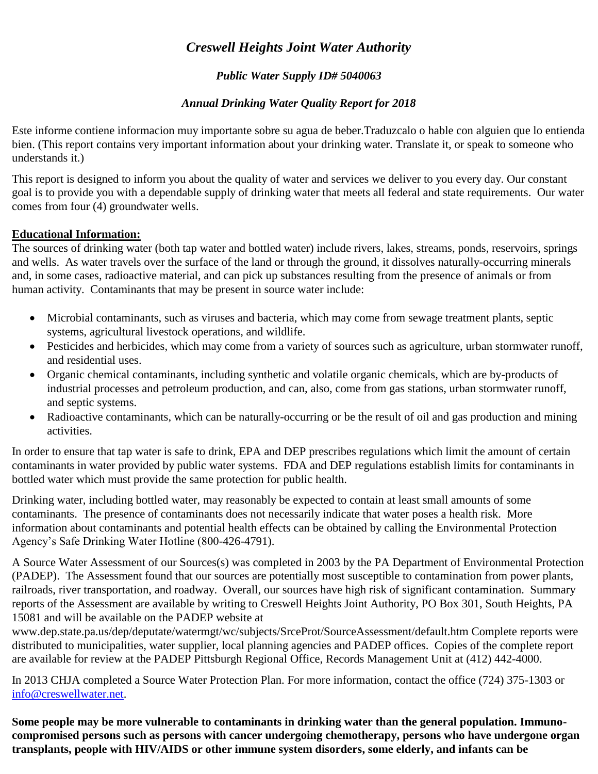# *Creswell Heights Joint Water Authority*

## *Public Water Supply ID# 5040063*

## *Annual Drinking Water Quality Report for 2018*

Este informe contiene informacion muy importante sobre su agua de beber.Traduzcalo o hable con alguien que lo entienda bien. (This report contains very important information about your drinking water. Translate it, or speak to someone who understands it.)

This report is designed to inform you about the quality of water and services we deliver to you every day. Our constant goal is to provide you with a dependable supply of drinking water that meets all federal and state requirements. Our water comes from four (4) groundwater wells.

### **Educational Information:**

The sources of drinking water (both tap water and bottled water) include rivers, lakes, streams, ponds, reservoirs, springs and wells. As water travels over the surface of the land or through the ground, it dissolves naturally-occurring minerals and, in some cases, radioactive material, and can pick up substances resulting from the presence of animals or from human activity. Contaminants that may be present in source water include:

- Microbial contaminants, such as viruses and bacteria, which may come from sewage treatment plants, septic systems, agricultural livestock operations, and wildlife.
- Pesticides and herbicides, which may come from a variety of sources such as agriculture, urban stormwater runoff, and residential uses.
- Organic chemical contaminants, including synthetic and volatile organic chemicals, which are by-products of industrial processes and petroleum production, and can, also, come from gas stations, urban stormwater runoff, and septic systems.
- Radioactive contaminants, which can be naturally-occurring or be the result of oil and gas production and mining activities.

In order to ensure that tap water is safe to drink, EPA and DEP prescribes regulations which limit the amount of certain contaminants in water provided by public water systems. FDA and DEP regulations establish limits for contaminants in bottled water which must provide the same protection for public health.

Drinking water, including bottled water, may reasonably be expected to contain at least small amounts of some contaminants. The presence of contaminants does not necessarily indicate that water poses a health risk. More information about contaminants and potential health effects can be obtained by calling the Environmental Protection Agency's Safe Drinking Water Hotline (800-426-4791).

A Source Water Assessment of our Sources(s) was completed in 2003 by the PA Department of Environmental Protection (PADEP). The Assessment found that our sources are potentially most susceptible to contamination from power plants, railroads, river transportation, and roadway. Overall, our sources have high risk of significant contamination. Summary reports of the Assessment are available by writing to Creswell Heights Joint Authority, PO Box 301, South Heights, PA 15081 and will be available on the PADEP website at

www.dep.state.pa.us/dep/deputate/watermgt/wc/subjects/SrceProt/SourceAssessment/default.htm Complete reports were distributed to municipalities, water supplier, local planning agencies and PADEP offices. Copies of the complete report are available for review at the PADEP Pittsburgh Regional Office, Records Management Unit at (412) 442-4000.

In 2013 CHJA completed a Source Water Protection Plan. For more information, contact the office (724) 375-1303 or [info@creswellwater.net.](mailto:info@creswellwater.net)

**Some people may be more vulnerable to contaminants in drinking water than the general population. Immunocompromised persons such as persons with cancer undergoing chemotherapy, persons who have undergone organ transplants, people with HIV/AIDS or other immune system disorders, some elderly, and infants can be**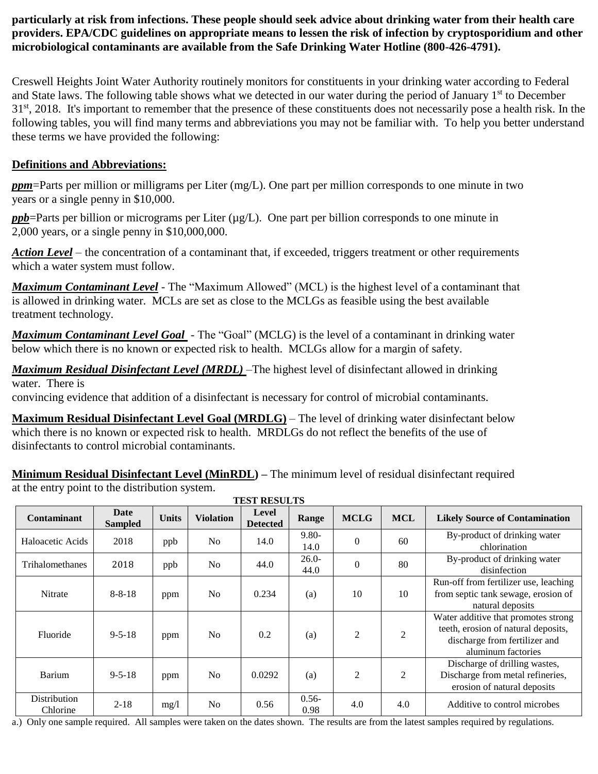**particularly at risk from infections. These people should seek advice about drinking water from their health care providers. EPA/CDC guidelines on appropriate means to lessen the risk of infection by cryptosporidium and other microbiological contaminants are available from the Safe Drinking Water Hotline (800-426-4791).**

Creswell Heights Joint Water Authority routinely monitors for constituents in your drinking water according to Federal and State laws. The following table shows what we detected in our water during the period of January 1<sup>st</sup> to December 31<sup>st</sup>, 2018. It's important to remember that the presence of these constituents does not necessarily pose a health risk. In the following tables, you will find many terms and abbreviations you may not be familiar with. To help you better understand these terms we have provided the following:

## **Definitions and Abbreviations:**

*ppm*=Parts per million or milligrams per Liter (mg/L). One part per million corresponds to one minute in two years or a single penny in \$10,000.

 $ppb$ =Parts per billion or micrograms per Liter ( $\mu$ g/L). One part per billion corresponds to one minute in 2,000 years, or a single penny in \$10,000,000.

*Action Level* – the concentration of a contaminant that, if exceeded, triggers treatment or other requirements which a water system must follow.

*Maximum Contaminant Level* - The "Maximum Allowed" (MCL) is the highest level of a contaminant that is allowed in drinking water. MCLs are set as close to the MCLGs as feasible using the best available treatment technology.

*Maximum Contaminant Level Goal* - The "Goal" (MCLG) is the level of a contaminant in drinking water below which there is no known or expected risk to health. MCLGs allow for a margin of safety.

*Maximum Residual Disinfectant Level (MRDL)* –The highest level of disinfectant allowed in drinking water. There is

convincing evidence that addition of a disinfectant is necessary for control of microbial contaminants.

**Maximum Residual Disinfectant Level Goal (MRDLG)** – The level of drinking water disinfectant below which there is no known or expected risk to health. MRDLGs do not reflect the benefits of the use of disinfectants to control microbial contaminants.

**Minimum Residual Disinfectant Level (MinRDL) –** The minimum level of residual disinfectant required at the entry point to the distribution system.

| <b>TEST RESULTS</b>      |                        |              |                  |                          |                  |                |                |                                                                                                                                   |
|--------------------------|------------------------|--------------|------------------|--------------------------|------------------|----------------|----------------|-----------------------------------------------------------------------------------------------------------------------------------|
| <b>Contaminant</b>       | Date<br><b>Sampled</b> | <b>Units</b> | <b>Violation</b> | Level<br><b>Detected</b> | Range            | <b>MCLG</b>    | <b>MCL</b>     | <b>Likely Source of Contamination</b>                                                                                             |
| Haloacetic Acids         | 2018                   | ppb          | N <sub>0</sub>   | 14.0                     | $9.80 -$<br>14.0 | $\theta$       | 60             | By-product of drinking water<br>chlorination                                                                                      |
| <b>Trihalomethanes</b>   | 2018                   | ppb          | N <sub>o</sub>   | 44.0                     | $26.0-$<br>44.0  | $\theta$       | 80             | By-product of drinking water<br>disinfection                                                                                      |
| <b>Nitrate</b>           | $8 - 8 - 18$           | ppm          | N <sub>o</sub>   | 0.234                    | (a)              | 10             | 10             | Run-off from fertilizer use, leaching<br>from septic tank sewage, erosion of<br>natural deposits                                  |
| Fluoride                 | $9 - 5 - 18$           | ppm          | N <sub>o</sub>   | 0.2                      | (a)              | $\overline{2}$ | $\overline{2}$ | Water additive that promotes strong<br>teeth, erosion of natural deposits,<br>discharge from fertilizer and<br>aluminum factories |
| Barium                   | $9 - 5 - 18$           | ppm          | N <sub>0</sub>   | 0.0292                   | (a)              | $\overline{c}$ | $\overline{2}$ | Discharge of drilling wastes,<br>Discharge from metal refineries,<br>erosion of natural deposits                                  |
| Distribution<br>Chlorine | $2 - 18$               | mg/l         | N <sub>o</sub>   | 0.56                     | $0.56 -$<br>0.98 | 4.0            | 4.0            | Additive to control microbes                                                                                                      |

a.) Only one sample required. All samples were taken on the dates shown. The results are from the latest samples required by regulations.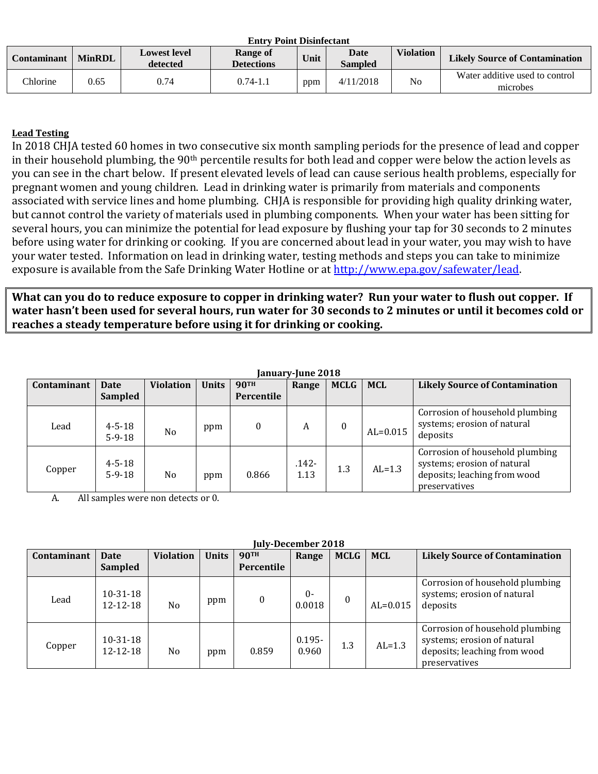| Entry Point Disinfectant |               |                                 |                               |      |                        |                  |                                            |  |
|--------------------------|---------------|---------------------------------|-------------------------------|------|------------------------|------------------|--------------------------------------------|--|
| Contaminant              | <b>MinRDL</b> | <b>Lowest level</b><br>detected | Range of<br><b>Detections</b> | Unit | Date<br><b>Sampled</b> | <b>Violation</b> | <b>Likely Source of Contamination</b>      |  |
| <b>Chlorine</b>          | 0.65          | 0.74                            | 0.74-1.1                      | ppm  | 4/11/2018              | No               | Water additive used to control<br>microbes |  |

**Entry Point Disinfectant**

### **Lead Testing**

In 2018 CHJA tested 60 homes in two consecutive six month sampling periods for the presence of lead and copper in their household plumbing, the 90<sup>th</sup> percentile results for both lead and copper were below the action levels as you can see in the chart below. If present elevated levels of lead can cause serious health problems, especially for pregnant women and young children. Lead in drinking water is primarily from materials and components associated with service lines and home plumbing. CHJA is responsible for providing high quality drinking water, but cannot control the variety of materials used in plumbing components. When your water has been sitting for several hours, you can minimize the potential for lead exposure by flushing your tap for 30 seconds to 2 minutes before using water for drinking or cooking. If you are concerned about lead in your water, you may wish to have your water tested. Information on lead in drinking water, testing methods and steps you can take to minimize exposure is available from the Safe Drinking Water Hotline or at [http://www.epa.gov/safewater/lead.](http://www.epa.gov/safewater/lead)

**What can you do to reduce exposure to copper in drinking water? Run your water to flush out copper. If water hasn't been used for several hours, run water for 30 seconds to 2 minutes or until it becomes cold or reaches a steady temperature before using it for drinking or cooking.** 

| January-June 2018 |                              |                  |              |                           |                  |                  |            |                                                                                                                 |
|-------------------|------------------------------|------------------|--------------|---------------------------|------------------|------------------|------------|-----------------------------------------------------------------------------------------------------------------|
| Contaminant       | <b>Date</b><br>Sampled       | <b>Violation</b> | <b>Units</b> | <b>90TH</b><br>Percentile | Range            | <b>MCLG</b>      | <b>MCL</b> | <b>Likely Source of Contamination</b>                                                                           |
|                   |                              |                  |              |                           |                  |                  |            |                                                                                                                 |
| Lead              | $4 - 5 - 18$<br>$5 - 9 - 18$ | No               | ppm          | $\boldsymbol{0}$          | A                | $\boldsymbol{0}$ | $AL=0.015$ | Corrosion of household plumbing<br>systems; erosion of natural<br>deposits                                      |
| Copper            | $4 - 5 - 18$<br>$5 - 9 - 18$ | N <sub>o</sub>   | ppm          | 0.866                     | $.142 -$<br>1.13 | 1.3              | $AL=1.3$   | Corrosion of household plumbing<br>systems; erosion of natural<br>deposits; leaching from wood<br>preservatives |

A. All samples were non detects or 0.

#### **July-December 2018**

| Contaminant | <b>Date</b><br><b>Sampled</b>    | <b>Violation</b> | <b>Units</b> | <b>90TH</b><br>Percentile | Range              | <b>MCLG</b> | <b>MCL</b>   | <b>Likely Source of Contamination</b>                                                                           |
|-------------|----------------------------------|------------------|--------------|---------------------------|--------------------|-------------|--------------|-----------------------------------------------------------------------------------------------------------------|
| Lead        | $10 - 31 - 18$<br>$12 - 12 - 18$ | No               | ppm          | 0                         | $0-$<br>0.0018     | $\theta$    | $AL = 0.015$ | Corrosion of household plumbing<br>systems; erosion of natural<br>deposits                                      |
| Copper      | $10 - 31 - 18$<br>12-12-18       | No               | ppm          | 0.859                     | $0.195 -$<br>0.960 | 1.3         | $AL=1.3$     | Corrosion of household plumbing<br>systems; erosion of natural<br>deposits; leaching from wood<br>preservatives |